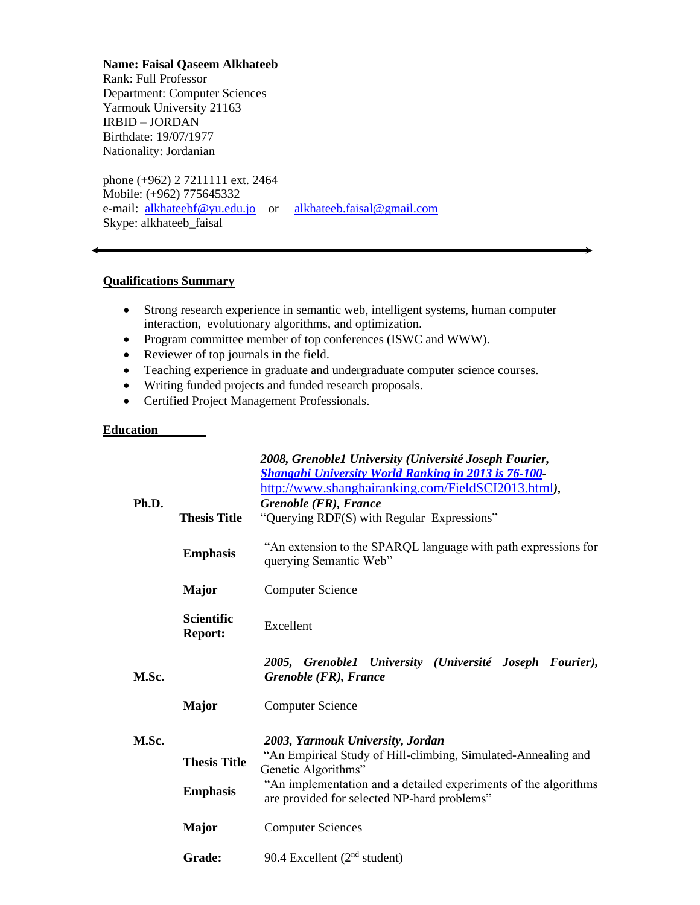**Name: Faisal Qaseem Alkhateeb**

Rank: Full Professor Department: Computer Sciences Yarmouk University 21163 IRBID – JORDAN Birthdate: 19/07/1977 Nationality: Jordanian

phone (+962) 2 7211111 ext. 2464 Mobile: (+962) 775645332 e-mail: [alkhateebf@yu.edu.jo](mailto:alkhateebf@yu.edu.jo) or [alkhateeb.faisal@gmail.com](mailto:alkhateeb.faisal@gmail.com) Skype: alkhateeb\_faisal

### **Qualifications Summary**

- Strong research experience in semantic web, intelligent systems, human computer interaction, evolutionary algorithms, and optimization.
- Program committee member of top conferences (ISWC and WWW).
- Reviewer of top journals in the field.
- Teaching experience in graduate and undergraduate computer science courses.
- Writing funded projects and funded research proposals.
- Certified Project Management Professionals.

#### **Education**

|       |                                         | 2008, Grenoble1 University (Université Joseph Fourier,<br><b>Shangahi University World Ranking in 2013 is 76-100</b><br>http://www.shanghairanking.com/FieldSCI2013.html),                                                                 |  |
|-------|-----------------------------------------|--------------------------------------------------------------------------------------------------------------------------------------------------------------------------------------------------------------------------------------------|--|
| Ph.D. |                                         | Grenoble (FR), France                                                                                                                                                                                                                      |  |
|       | <b>Thesis Title</b>                     | "Querying RDF(S) with Regular Expressions"                                                                                                                                                                                                 |  |
|       | <b>Emphasis</b>                         | "An extension to the SPARQL language with path expressions for<br>querying Semantic Web"                                                                                                                                                   |  |
|       | <b>Major</b><br><b>Computer Science</b> |                                                                                                                                                                                                                                            |  |
|       | <b>Scientific</b><br><b>Report:</b>     | Excellent                                                                                                                                                                                                                                  |  |
| M.Sc. |                                         | 2005, Grenoble1 University (Université Joseph Fourier),<br>Grenoble (FR), France                                                                                                                                                           |  |
|       | <b>Major</b>                            | <b>Computer Science</b>                                                                                                                                                                                                                    |  |
| M.Sc. |                                         | 2003, Yarmouk University, Jordan<br>"An Empirical Study of Hill-climbing, Simulated-Annealing and<br>Genetic Algorithms"<br>"An implementation and a detailed experiments of the algorithms<br>are provided for selected NP-hard problems" |  |
|       | <b>Thesis Title</b>                     |                                                                                                                                                                                                                                            |  |
|       | <b>Emphasis</b>                         |                                                                                                                                                                                                                                            |  |
|       | <b>Major</b>                            | <b>Computer Sciences</b>                                                                                                                                                                                                                   |  |
|       |                                         |                                                                                                                                                                                                                                            |  |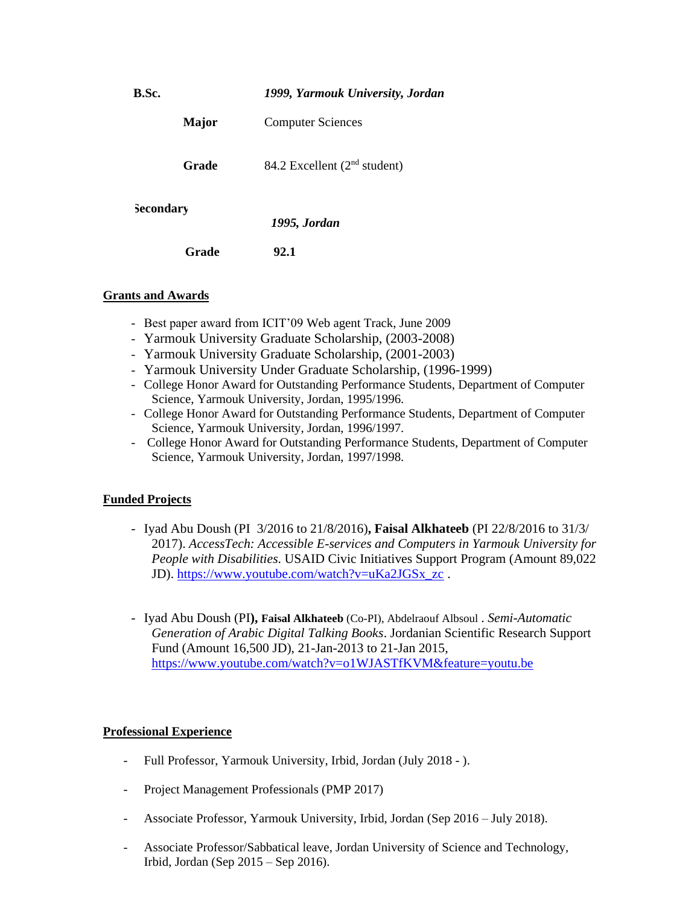| B.Sc.        | 1999, Yarmouk University, Jordan         |
|--------------|------------------------------------------|
| <b>Major</b> | <b>Computer Sciences</b>                 |
| Grade        | 84.2 Excellent (2 <sup>nd</sup> student) |
| Secondary    | 1995, Jordan                             |
| Grade        | 92.1                                     |

# **Grants and Awards**

- Best paper award from ICIT'09 Web agent Track, June 2009
- Yarmouk University Graduate Scholarship, (2003-2008)
- Yarmouk University Graduate Scholarship, (2001-2003)
- Yarmouk University Under Graduate Scholarship, (1996-1999)
- College Honor Award for Outstanding Performance Students, Department of Computer Science, Yarmouk University, Jordan, 1995/1996.
- College Honor Award for Outstanding Performance Students, Department of Computer Science, Yarmouk University, Jordan, 1996/1997.
- College Honor Award for Outstanding Performance Students, Department of Computer Science, Yarmouk University, Jordan, 1997/1998.

# **Funded Projects**

- Iyad Abu Doush (PI 3/2016 to 21/8/2016)**, Faisal Alkhateeb** (PI 22/8/2016 to 31/3/ 2017). *AccessTech: Accessible E-services and Computers in Yarmouk University for People with Disabilities.* USAID Civic Initiatives Support Program (Amount 89,022 JD). [https://www.youtube.com/watch?v=uKa2JGSx\\_zc](https://www.youtube.com/watch?v=uKa2JGSx_zc) .
- Iyad Abu Doush (PI**), Faisal Alkhateeb** (Co-PI), Abdelraouf Albsoul . *Semi-Automatic Generation of Arabic Digital Talking Books*. Jordanian Scientific Research Support Fund (Amount 16,500 JD), 21-Jan-2013 to 21-Jan 2015, <https://www.youtube.com/watch?v=o1WJASTfKVM&feature=youtu.be>

# **Professional Experience**

- Full Professor, Yarmouk University, Irbid, Jordan (July 2018 ).
- Project Management Professionals (PMP 2017)
- Associate Professor, Yarmouk University, Irbid, Jordan (Sep 2016 July 2018).
- Associate Professor/Sabbatical leave, Jordan University of Science and Technology, Irbid, Jordan (Sep 2015 – Sep 2016).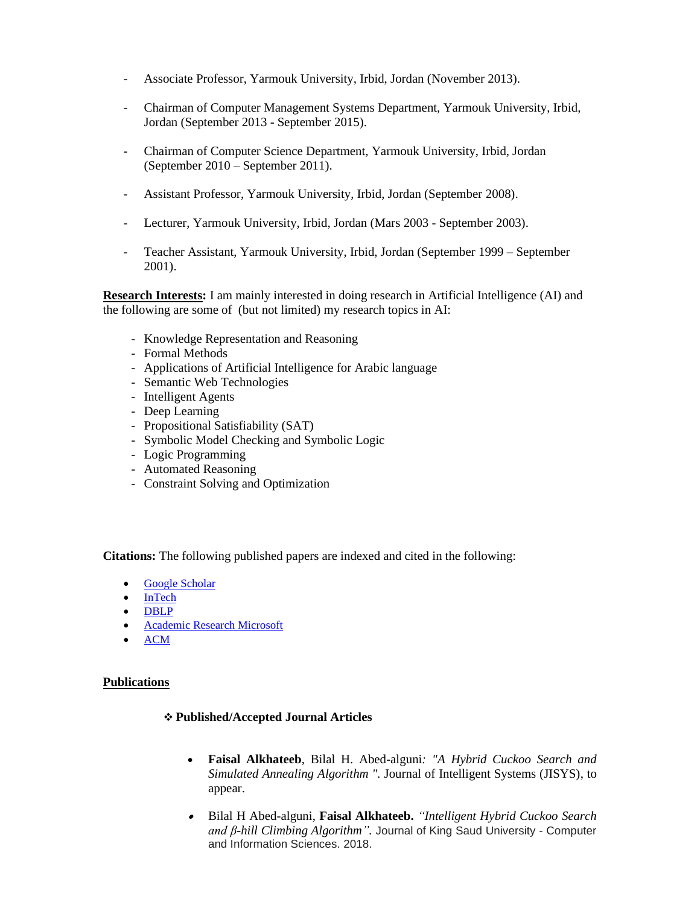- Associate Professor, Yarmouk University, Irbid, Jordan (November 2013).
- Chairman of Computer Management Systems Department, Yarmouk University, Irbid, Jordan (September 2013 - September 2015).
- Chairman of Computer Science Department, Yarmouk University, Irbid, Jordan (September 2010 – September 2011).
- Assistant Professor, Yarmouk University, Irbid, Jordan (September 2008).
- Lecturer, Yarmouk University, Irbid, Jordan (Mars 2003 September 2003).
- Teacher Assistant, Yarmouk University, Irbid, Jordan (September 1999 September 2001).

**Research Interests:** I am mainly interested in doing research in Artificial Intelligence (AI) and the following are some of (but not limited) my research topics in AI:

- Knowledge Representation and Reasoning
- Formal Methods
- Applications of Artificial Intelligence for Arabic language
- Semantic Web Technologies
- Intelligent Agents
- Deep Learning
- Propositional Satisfiability (SAT)
- Symbolic Model Checking and Symbolic Logic
- Logic Programming
- Automated Reasoning
- Constraint Solving and Optimization

**Citations:** The following published papers are indexed and cited in the following:

- [Google Scholar](http://scholar.google.com/scholar?hl=ar&q=faisal+alkhateeb&btnG=)
- [InTech](http://www.intechopen.com/profiles/19210/Faisal-Alkhateeb)
- [DBLP](http://www.informatik.uni-trier.de/~ley/db/indices/a-tree/a/Alkhateeb:Faisal.html)
- [Academic Research Microsoft](http://academic.research.microsoft.com/Detail?entitytype=7&searchtype=1&id=19543)
- [ACM](http://dl.acm.org/author_page.cfm?id=81456630487&coll=DL&dl=ACM&trk=0&cfid=102333832&cftoken=76998661)

# **Publications**

# ❖ **Published/Accepted Journal Articles**

- **Faisal Alkhateeb**, Bilal H. Abed-alguni*: "A Hybrid Cuckoo Search and Simulated Annealing Algorithm ".* Journal of Intelligent Systems (JISYS), to appear.
- Bilal H Abed-alguni, **Faisal Alkhateeb.** *["Intelligent Hybrid Cuckoo Search](https://www.sciencedirect.com/science/article/pii/S1319157817303579)  [and β-hill Climbing Algorithm"](https://www.sciencedirect.com/science/article/pii/S1319157817303579).* Journal of King Saud University - Computer and Information Sciences. 2018.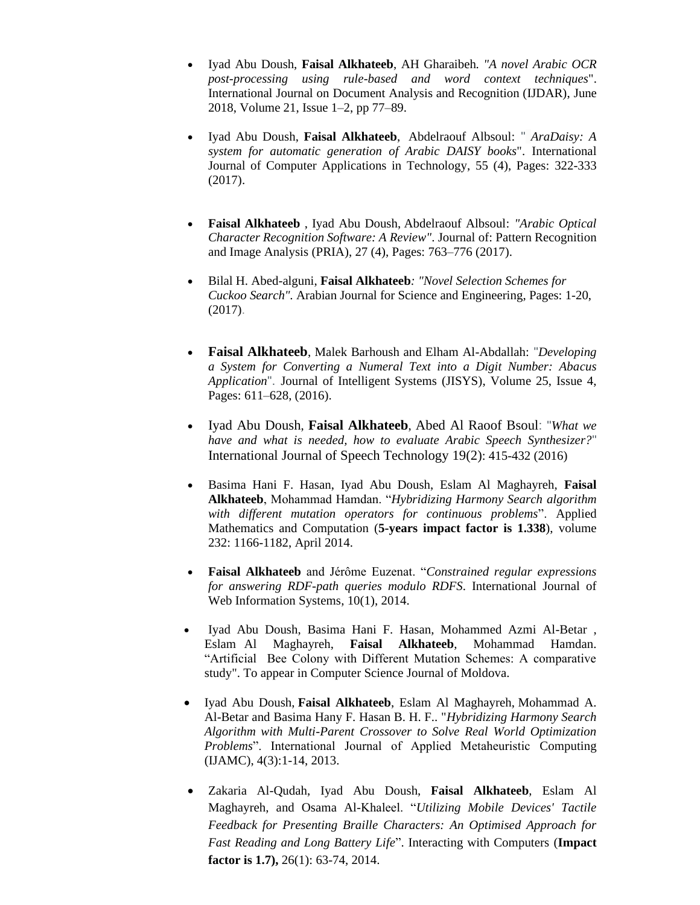- Iyad Abu Doush, **Faisal Alkhateeb**, AH Gharaibeh*. ["A novel Arabic OCR](javascript:void(0))  [post-processing using rule-based and word context techniques](javascript:void(0))*". International Journal on Document Analysis and Recognition (IJDAR), June 2018, Volume 21, [Issue](https://link.springer.com/journal/10032/21/1/page/1) 1–2, pp 77–89.
- Iyad Abu Doush, **Faisal Alkhateeb**, Abdelraouf Albsoul: " *AraDaisy: A system for automatic generation of Arabic DAISY books*". International Journal of Computer Applications in Technology, 55 (4), Pages: 322-333 (2017).
- **Faisal Alkhateeb** , Iyad Abu Doush, Abdelraouf Albsoul: *"Arabic Optical Character Recognition Software: A Review"*. Journal of: Pattern Recognition and Image Analysis (PRIA), 27 (4), Pages: 763–776 (2017).
- Bilal H. Abed-alguni, **Faisal Alkhateeb***: ["Novel Selection Schemes for](https://scholar.google.com/citations?view_op=view_citation&hl=en&user=SpxeEBwAAAAJ&sortby=pubdate&citation_for_view=SpxeEBwAAAAJ:mvPsJ3kp5DgC)  [Cuckoo Search"](https://scholar.google.com/citations?view_op=view_citation&hl=en&user=SpxeEBwAAAAJ&sortby=pubdate&citation_for_view=SpxeEBwAAAAJ:mvPsJ3kp5DgC).* Arabian Journal for Science and Engineering, Pages: 1-20, (2017).
- **Faisal Alkhateeb**, Malek Barhoush and Elham Al-Abdallah: "*Developing a System for Converting a Numeral Text into a Digit Number: Abacus Application*". Journal of Intelligent Systems (JISYS), Volume 25, Issue 4, Pages: 611–628, (2016).
- [Iyad Abu Doush](http://dblp.uni-trier.de/pers/hd/d/Doush:Iyad_Abu), **Faisal Alkhateeb**, [Abed Al Raoof Bsoul](http://dblp.uni-trier.de/pers/hd/b/Bsoul:Abed_Al_Raoof): "*What we have and what is needed, how to evaluate Arabic Speech Synthesizer?*" [International Journal of Speech Technology 19\(2\)](http://dblp.uni-trier.de/db/journals/ijst/ijst19.html#DoushAB16): 415-432 (2016)
- Basima Hani F. Hasan, Iyad Abu Doush, Eslam Al Maghayreh, **Faisal Alkhateeb**, Mohammad Hamdan. "*[Hybridizing Harmony Search algorithm](http://scholar.google.com/citations?view_op=view_citation&hl=en&user=5FFgeAIAAAAJ&cstart=20&citation_for_view=5FFgeAIAAAAJ:_Qo2XoVZTnwC)  [with different mutation operators for continuous problems](http://scholar.google.com/citations?view_op=view_citation&hl=en&user=5FFgeAIAAAAJ&cstart=20&citation_for_view=5FFgeAIAAAAJ:_Qo2XoVZTnwC)*". [Applied](http://www.informatik.uni-trier.de/~ley/db/journals/amc/amc218.html#Al-BetarDKA12)  [Mathematics and Computation \(](http://www.informatik.uni-trier.de/~ley/db/journals/amc/amc218.html#Al-BetarDKA12)**5-years impact factor is 1.338**), volume 232: 1166-1182, April 2014.
- **Faisal Alkhateeb** and Jérôme Euzenat. "*Constrained regular expressions for answering RDF-path queries modulo RDFS*. International Journal of Web Information Systems,  $10(1)$ , 2014.
- Iyad Abu Doush, Basima Hani F. Hasan, Mohammed Azmi Al-Betar , Eslam Al Maghayreh, **Faisal Alkhateeb**, Mohammad Hamdan. "Artificial Bee Colony with Different Mutation Schemes: A comparative study". To appear in Computer Science Journal of Moldova.
- Iyad Abu Doush, **Faisal Alkhateeb**, Eslam Al Maghayreh, Mohammad A. Al-Betar and Basima Hany F. Hasan B. H. F.. "*Hybridizing Harmony Search Algorithm with Multi-Parent Crossover to Solve Real World Optimization Problems*". International Journal of Applied Metaheuristic Computing (IJAMC), 4(3):1-14, 2013.
- Zakaria Al-Qudah, Iyad Abu Doush, **Faisal Alkhateeb**, Eslam Al Maghayreh, and Osama Al-Khaleel. "*Utilizing Mobile Devices' Tactile Feedback for Presenting Braille Characters: An Optimised Approach for Fast Reading and Long Battery Life*". Interacting with Computers (**Impact factor is 1.7),** 26(1): 63-74, 2014.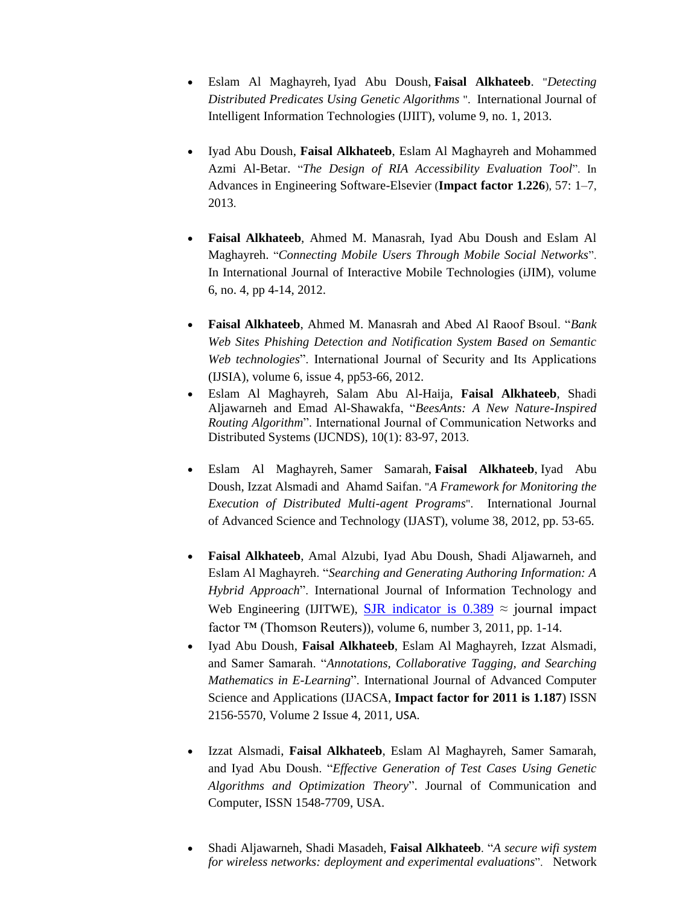- Eslam Al Maghayreh, Iyad Abu Doush, **Faisal Alkhateeb**. "*Detecting Distributed Predicates Using Genetic Algorithms* ". International Journal of Intelligent Information Technologies (IJIIT), volume 9, no. 1, 2013.
- Iyad Abu Doush, **Faisal Alkhateeb**, Eslam Al Maghayreh and Mohammed Azmi Al-Betar. "*The Design of RIA Accessibility Evaluation Tool*". In Advances in Engineering Software-Elsevier (**Impact factor 1.226**), 57: 1–7, 2013.
- **Faisal Alkhateeb**, Ahmed M. Manasrah, Iyad Abu Doush and Eslam Al Maghayreh. "*Connecting Mobile Users Through Mobile Social Networks*". In International Journal of Interactive Mobile Technologies (iJIM), volume 6, no. 4, pp 4-14, 2012.
- **Faisal Alkhateeb**, Ahmed M. Manasrah and Abed Al Raoof Bsoul. "*Bank Web Sites Phishing Detection and Notification System Based on Semantic Web technologies*". International Journal of Security and Its Applications (IJSIA), volume 6, issue 4, pp53-66, 2012.
- Eslam Al Maghayreh, Salam Abu Al-Haija, **Faisal Alkhateeb**, Shadi Aljawarneh and Emad Al-Shawakfa, "*BeesAnts: A New Nature-Inspired Routing Algorithm*". International Journal of Communication Networks and Distributed Systems (IJCNDS)[, 10\(](http://www.informatik.uni-trier.de/~ley/db/journals/ijcnds/ijcnds10.html#MaghayrehHAAA13)1): 83-97, 2013.
- Eslam Al Maghayreh, Samer Samarah, **Faisal Alkhateeb**, Iyad Abu Doush, Izzat Alsmadi and Ahamd Saifan. "*A Framework for Monitoring the Execution of Distributed Multi-agent Programs*". International Journal of Advanced Science and Technology (IJAST), volume 38, 2012, pp. 53-65.
- **Faisal Alkhateeb**, Amal Alzubi, Iyad Abu Doush, Shadi Aljawarneh, and Eslam Al Maghayreh. "*Searching and Generating Authoring Information: A Hybrid Approach*". International Journal of Information Technology and Web Engineering (IJITWE), SJR indicator is  $0.389 \approx$  journal impact factor ™ (Thomson Reuters)), volume 6, number 3, 2011, pp. 1-14.
- Iyad Abu Doush, **Faisal Alkhateeb**, Eslam Al Maghayreh, Izzat Alsmadi, and Samer Samarah. "*Annotations, Collaborative Tagging, and Searching Mathematics in E-Learning*". International Journal of Advanced Computer Science and Applications (IJACSA, **Impact factor for 2011 is 1.187**) ISSN 2156-5570, Volume 2 Issue 4, 2011, USA.
- Izzat Alsmadi, **Faisal Alkhateeb**, Eslam Al Maghayreh, Samer Samarah, and Iyad Abu Doush. "*Effective Generation of Test Cases Using Genetic Algorithms and Optimization Theory*". Journal of Communication and Computer, ISSN 1548-7709, USA.
- Shadi Aljawarneh, Shadi Masadeh, **Faisal Alkhateeb**. "*A secure wifi system for wireless networks: deployment and experimental evaluations*". Network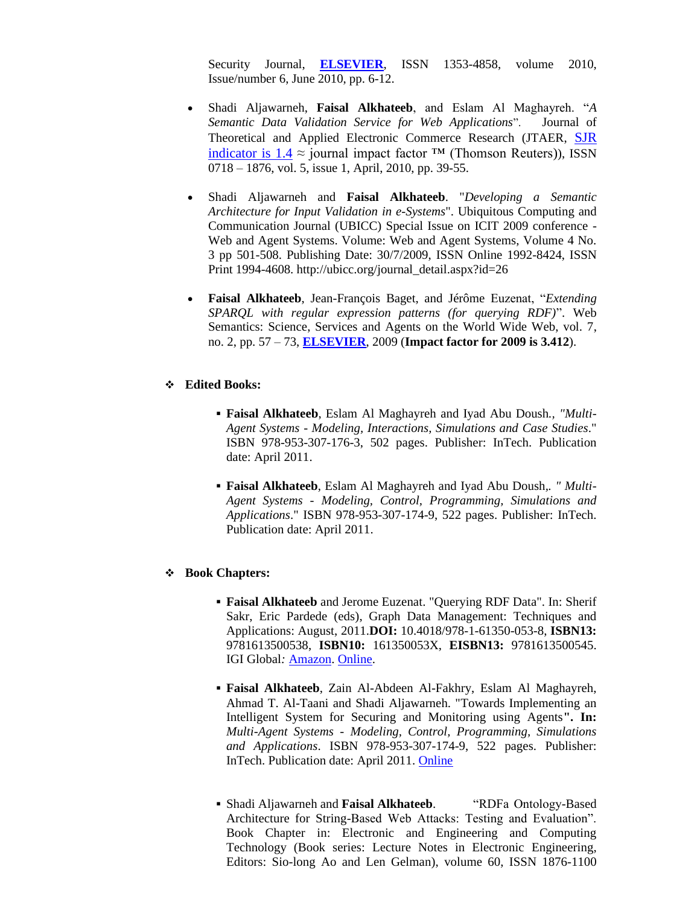Security Journal, **[ELSEVIER](http://www.elsevier.com/wps/find/journaldescription.authors/30358/description)**, ISSN 1353-4858, volume 2010, Issue/number 6, June 2010, pp. 6-12.

- Shadi Aljawarneh, **Faisal Alkhateeb**, and Eslam Al Maghayreh. "*A Semantic Data Validation Service for Web Applications*". Journal of Theoretical and Applied Electronic Commerce Research (JTAER, [SJR](http://www.scimagojr.com/journalsearch.php?q=6300153121&tip=sid)  [indicator](http://www.scimagojr.com/journalsearch.php?q=6300153121&tip=sid) is  $1.4 \approx$  journal impact factor <sup>TM</sup> (Thomson Reuters)), ISSN 0718 – 1876, vol. 5, issue 1, April, 2010, pp. 39-55.
- Shadi Aljawarneh and **Faisal Alkhateeb**. "*Developing a Semantic Architecture for Input Validation in e-Systems*". Ubiquitous Computing and Communication Journal (UBICC) Special Issue on ICIT 2009 conference - Web and Agent Systems. Volume: Web and Agent Systems, Volume 4 No. 3 pp 501-508. Publishing Date: 30/7/2009, ISSN Online 1992-8424, ISSN Print 1994-4608. http://ubicc.org/journal\_detail.aspx?id=26
- **Faisal Alkhateeb**, Jean-François Baget, and Jérôme Euzenat, "*Extending SPARQL with regular expression patterns (for querying RDF)*". Web Semantics: Science, Services and Agents on the World Wide Web, vol. 7, no. 2, pp. 57 – 73, **[ELSEVIER](http://ees.elsevier.com/jws/)**, 2009 (**Impact factor for 2009 is 3.412**).

#### ❖ **Edited Books:**

- **Faisal Alkhateeb**, Eslam Al Maghayreh and Iyad Abu Doush*., "Multi-Agent Systems - Modeling, Interactions, Simulations and Case Studies*." ISBN 978-953-307-176-3, 502 pages. Publisher: InTech. Publication date: April 2011.
- **Faisal Alkhateeb**, Eslam Al Maghayreh and Iyad Abu Doush*,. " Multi-Agent Systems - Modeling, Control, Programming, Simulations and Applications*." ISBN 978-953-307-174-9, 522 pages. Publisher: InTech. Publication date: April 2011.

#### ❖ **Book Chapters:**

- **Faisal Alkhateeb** and Jerome Euzenat. "Querying RDF Data". In: Sherif Sakr, Eric Pardede (eds), Graph Data Management: Techniques and Applications: August, 2011.**DOI:** 10.4018/978-1-61350-053-8, **ISBN13:** 9781613500538, **ISBN10:** 161350053X, **EISBN13:** 9781613500545. IGI Global*:* [Amazon.](http://www.amazon.ca/Graph-Data-Management-Techniques-Applications/dp/161350053X) [Online.](http://www.igi-global.com/bookstore/titledetails.aspx?titleid=51933&detailstype=topicscovered)
- **Faisal Alkhateeb**, Zain Al-Abdeen Al-Fakhry, Eslam Al Maghayreh, Ahmad T. Al-Taani and Shadi Aljawarneh. ["Towards Implementing an](http://www.intechopen.com/articles/show/title/towards-implementing-an-intelligent-system-for-securing-and-monitoring-using-agents)  [Intelligent System for Securing and Monitoring using Agents](http://www.intechopen.com/articles/show/title/towards-implementing-an-intelligent-system-for-securing-and-monitoring-using-agents)**". In:**  *Multi-Agent Systems - Modeling, Control, Programming, Simulations and Applications*. ISBN 978-953-307-174-9, 522 pages. Publisher: InTech. Publication date: April 2011. [Online](http://www.intechopen.com/books/show/title/multi-agent-systems-modeling-control-programming-simulations-and-applications)
- Shadi Aljawarneh and **Faisal Alkhateeb**. "RDFa Ontology-Based Architecture for String-Based Web Attacks: Testing and Evaluation". Book Chapter in: Electronic and Engineering and Computing Technology (Book series: Lecture Notes in Electronic Engineering, Editors: Sio-long Ao and Len Gelman), volume 60, ISSN 1876-1100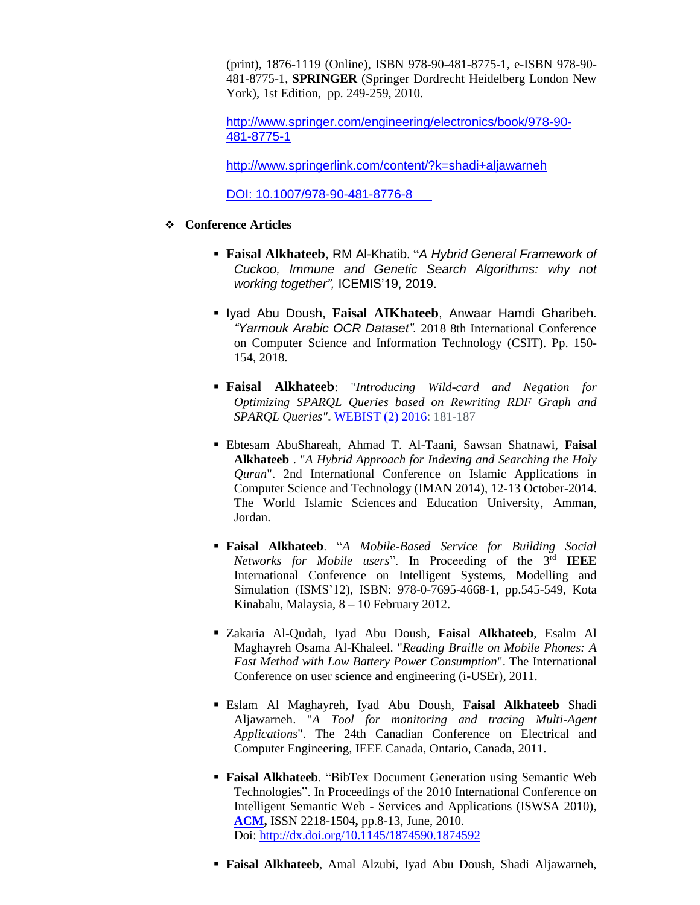(print), 1876-1119 (Online), ISBN 978-90-481-8775-1, e-ISBN 978-90- 481-8775-1, **SPRINGER** (Springer Dordrecht Heidelberg London New York), 1st Edition, pp. 249-259, 2010.

[http://www.springer.com/engineering/electronics/book/978-90-](http://www.springer.com/engineering/electronics/book/978-90-481-8775-1) [481-8775-1](http://www.springer.com/engineering/electronics/book/978-90-481-8775-1)

http://www.springerlink.com/content/?k=shadi+aljawarneh

[DOI: 10.1007/978-90-481-8776-8](http://www.springerlink.com/content/u41u405104212626/?p=80de0ae7850b43a4ac40a9a58610d71e&pi=0)

- ❖ **Conference Articles**
	- **Faisal Alkhateeb**, RM Al-Khatib. "*[A Hybrid General Framework of](javascript:void(0))  [Cuckoo, Immune and Genetic Search Algorithms: why not](javascript:void(0)) [working together"](javascript:void(0)),* ICEMIS'19, 2019.
	- Iyad Abu Doush, **Faisal AIKhateeb**, Anwaar Hamdi Gharibeh. *["Yarmouk Arabic OCR Dataset"](https://ieeexplore.ieee.org/abstract/document/8486162/).* 2018 8th International Conference on Computer Science and Information Technology (CSIT). Pp. 150- 154, 2018.
	- **Faisal Alkhateeb**: "*Introducing Wild-card and Negation for Optimizing SPARQL Queries based on Rewriting RDF Graph and SPARQL Queries"***.** [WEBIST \(2\) 2016:](http://dblp.uni-trier.de/db/conf/webist/webist2016-2.html#Alkhateeb16) 181-187
	- Ebtesam AbuShareah, Ahmad T. Al-Taani, Sawsan Shatnawi, **Faisal Alkhateeb** . "*A Hybrid Approach for Indexing and Searching the Holy Quran*". 2nd International Conference on Islamic Applications in Computer Science and Technology (IMAN 2014), 12-13 October-2014. The World Islamic Sciences and Education University, Amman, Jordan.
	- **Faisal Alkhateeb**. "*A Mobile-Based Service for Building Social*  Networks for Mobile users". In Proceeding of the 3<sup>rd</sup> IEEE International Conference on Intelligent Systems, Modelling and Simulation (ISMS'12), ISBN: 978-0-7695-4668-1, pp.545-549, Kota Kinabalu, Malaysia, 8 – 10 February 2012.
	- Zakaria Al-Qudah, Iyad Abu Doush, **Faisal Alkhateeb**, Esalm Al Maghayreh Osama Al-Khaleel. "*Reading Braille on Mobile Phones: A Fast Method with Low Battery Power Consumption*". The International Conference on user science and engineering (i-USEr), 2011.
	- Eslam Al Maghayreh, Iyad Abu Doush, **Faisal Alkhateeb** Shadi Aljawarneh. "*A Tool for monitoring and tracing Multi-Agent Applications*". The 24th Canadian Conference on Electrical and Computer Engineering, IEEE Canada, Ontario, Canada, 2011.
	- **Faisal Alkhateeb**. "BibTex Document Generation using Semantic Web Technologies". In Proceedings of the 2010 International Conference on Intelligent Semantic Web - Services and Applications (ISWSA 2010), **[ACM,](http://portal.acm.org/citation.cfm?id=1874590&picked=prox&CFID=110629353&CFTOKEN=57489185)** ISSN 2218-1504**,** pp.8-13, June, 2010. Doi:<http://dx.doi.org/10.1145/1874590.1874592>
	- **Faisal Alkhateeb**, Amal Alzubi, Iyad Abu Doush, Shadi Aljawarneh,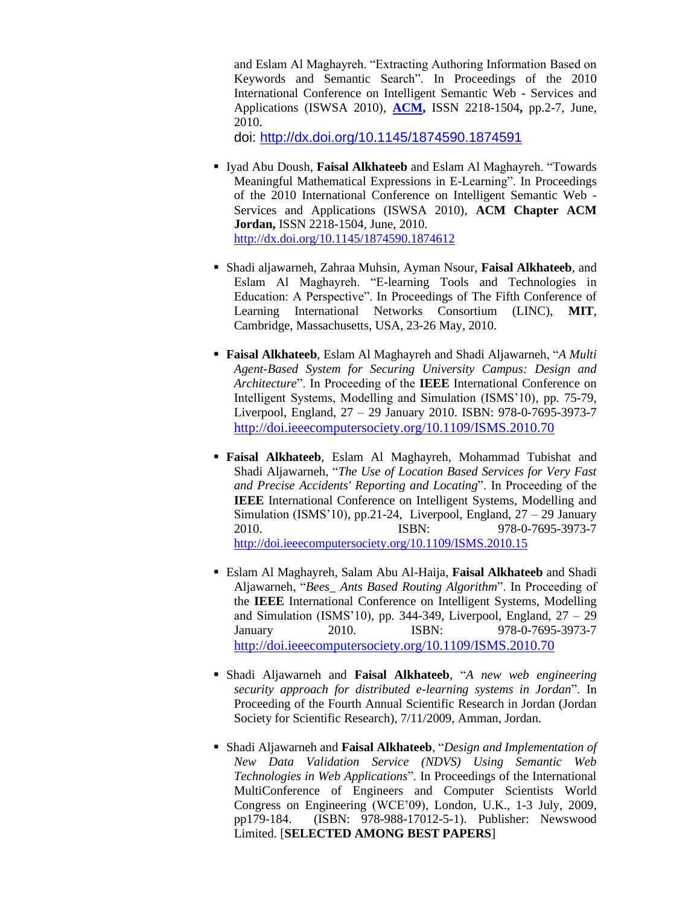and Eslam Al Maghayreh. "Extracting Authoring Information Based on Keywords and Semantic Search". In Proceedings of the 2010 International Conference on Intelligent Semantic Web - Services and Applications (ISWSA 2010), **[ACM,](http://portal.acm.org/citation.cfm?id=1874590&picked=prox&CFID=110629353&CFTOKEN=57489185)** ISSN 2218-1504**,** pp.2-7, June, 2010.

doi:<http://dx.doi.org/10.1145/1874590.1874591>

- Iyad Abu Doush, **Faisal Alkhateeb** and Eslam Al Maghayreh. "Towards Meaningful Mathematical Expressions in E-Learning". In Proceedings of the 2010 International Conference on Intelligent Semantic Web - Services and Applications (ISWSA 2010), **ACM Chapter ACM Jordan,** ISSN 2218-1504, June, 2010. <http://dx.doi.org/10.1145/1874590.1874612>
- Shadi aljawarneh, Zahraa Muhsin, Ayman Nsour, **Faisal Alkhateeb**, and Eslam Al Maghayreh. "E-learning Tools and Technologies in Education: A Perspective". In Proceedings of The Fifth Conference of Learning International Networks Consortium (LINC), **MIT**, Cambridge, Massachusetts, USA, 23-26 May, 2010.
- **Faisal Alkhateeb**, Eslam Al Maghayreh and Shadi Aljawarneh, "*A Multi Agent-Based System for Securing University Campus: Design and Architecture*". In Proceeding of the **IEEE** International Conference on Intelligent Systems, Modelling and Simulation (ISMS'10), pp. 75-79, Liverpool, England, 27 – 29 January 2010. ISBN: 978-0-7695-3973-7 <http://doi.ieeecomputersociety.org/10.1109/ISMS.2010.70>
- **Faisal Alkhateeb**, Eslam Al Maghayreh, Mohammad Tubishat and Shadi Aljawarneh, "*The Use of Location Based Services for Very Fast and Precise Accidents' Reporting and Locating*". In Proceeding of the **IEEE** International Conference on Intelligent Systems, Modelling and Simulation (ISMS'10), pp.21-24, Liverpool, England, 27 – 29 January 2010. ISBN: 978-0-7695-3973-7 <http://doi.ieeecomputersociety.org/10.1109/ISMS.2010.15>
- Eslam Al Maghayreh, Salam Abu Al-Haija, **Faisal Alkhateeb** and Shadi Aljawarneh, "*Bees\_ Ants Based Routing Algorithm*". In Proceeding of the **IEEE** International Conference on Intelligent Systems, Modelling and Simulation (ISMS'10), pp. 344-349, Liverpool, England,  $27 - 29$ January 2010. ISBN: 978-0-7695-3973-7 <http://doi.ieeecomputersociety.org/10.1109/ISMS.2010.70>
- Shadi Aljawarneh and **Faisal Alkhateeb**, "*A new web engineering security approach for distributed e-learning systems in Jordan*". In Proceeding of the Fourth Annual Scientific Research in Jordan (Jordan Society for Scientific Research), 7/11/2009, Amman, Jordan.
- Shadi Aljawarneh and **Faisal Alkhateeb**, "*Design and Implementation of New Data Validation Service (NDVS) Using Semantic Web Technologies in Web Applications*". In Proceedings of the International MultiConference of Engineers and Computer Scientists World Congress on Engineering (WCE'09), London, U.K., 1-3 July, 2009, pp179-184. (ISBN: 978-988-17012-5-1). Publisher: Newswood Limited. [**SELECTED AMONG BEST PAPERS**]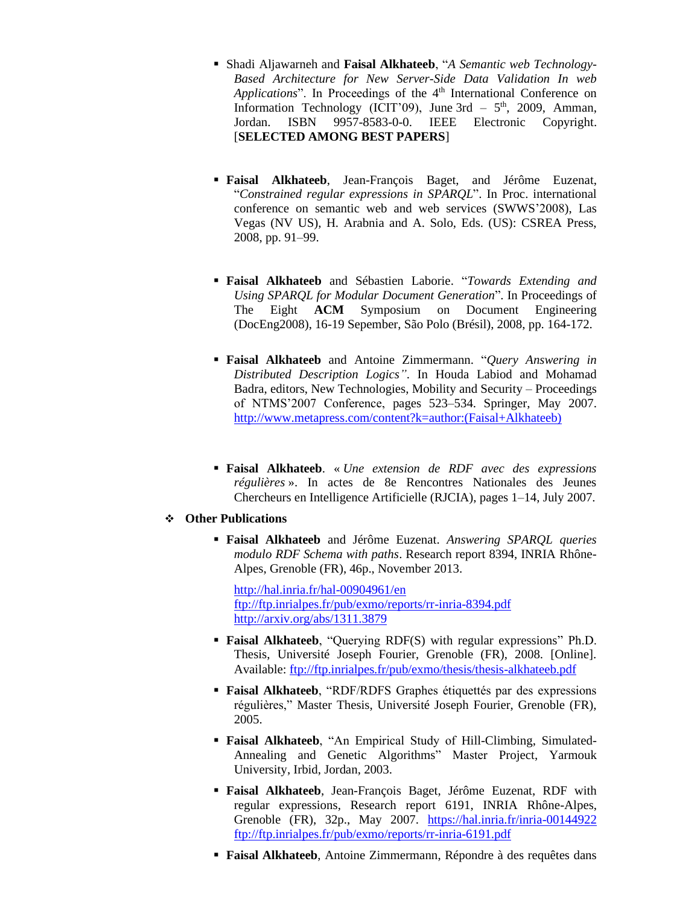- Shadi Aljawarneh and **Faisal Alkhateeb**, "*A Semantic web Technology-Based Architecture for New Server-Side Data Validation In web Applications*". In Proceedings of the 4<sup>th</sup> International Conference on Information Technology (ICIT'09), June  $3rd - 5<sup>th</sup>$ , 2009, Amman, Jordan. ISBN 9957-8583-0-0. IEEE Electronic Copyright. [**SELECTED AMONG BEST PAPERS**]
- **Faisal Alkhateeb**, Jean-François Baget, and Jérôme Euzenat, "*Constrained regular expressions in SPARQL*". In Proc. international conference on semantic web and web services (SWWS'2008), Las Vegas (NV US), H. Arabnia and A. Solo, Eds. (US): CSREA Press, 2008, pp. 91–99.
- **Faisal Alkhateeb** and Sébastien Laborie. "*Towards Extending and Using SPARQL for Modular Document Generation*". In Proceedings of The Eight **ACM** Symposium on Document Engineering (DocEng2008), 16-19 Sepember, São Polo (Brésil), 2008, pp. 164-172.
- **Faisal Alkhateeb** and Antoine Zimmermann. "*Query Answering in Distributed Description Logics"*. In Houda Labiod and Mohamad Badra, editors, New Technologies, Mobility and Security – Proceedings of NTMS'2007 Conference, pages 523–534. Springer, May 2007. [http://www.metapress.com/content?k=author:\(Faisal+Alkhateeb\)](http://www.metapress.com/content?k=author:(Faisal+Alkhateeb))
- **Faisal Alkhateeb**. « *Une extension de RDF avec des expressions régulières* ». In actes de 8e Rencontres Nationales des Jeunes Chercheurs en Intelligence Artificielle (RJCIA), pages 1–14, July 2007.

#### ❖ **Other Publications**

▪ **Faisal Alkhateeb** and Jérôme Euzenat. *Answering SPARQL queries modulo RDF Schema with paths*. Research report 8394, INRIA Rhône-Alpes, Grenoble (FR), 46p., November 2013.

<http://hal.inria.fr/hal-00904961/en> <ftp://ftp.inrialpes.fr/pub/exmo/reports/rr-inria-8394.pdf> <http://arxiv.org/abs/1311.3879>

- **Faisal Alkhateeb**, "Querying RDF(S) with regular expressions" Ph.D. Thesis, Université Joseph Fourier, Grenoble (FR), 2008. [Online]. Available:<ftp://ftp.inrialpes.fr/pub/exmo/thesis/thesis-alkhateeb.pdf>
- **Faisal Alkhateeb**, "RDF/RDFS Graphes étiquettés par des expressions régulières," Master Thesis, Université Joseph Fourier, Grenoble (FR), 2005.
- **Faisal Alkhateeb**, "An Empirical Study of Hill-Climbing, Simulated-Annealing and Genetic Algorithms" Master Project, Yarmouk University, Irbid, Jordan, 2003.
- **Faisal Alkhateeb**, Jean-François Baget, Jérôme Euzenat, RDF with regular expressions, Research report 6191, INRIA Rhône-Alpes, Grenoble (FR), 32p., May 2007. <https://hal.inria.fr/inria-00144922> <ftp://ftp.inrialpes.fr/pub/exmo/reports/rr-inria-6191.pdf>
- **Faisal Alkhateeb**, Antoine Zimmermann, Répondre à des requêtes dans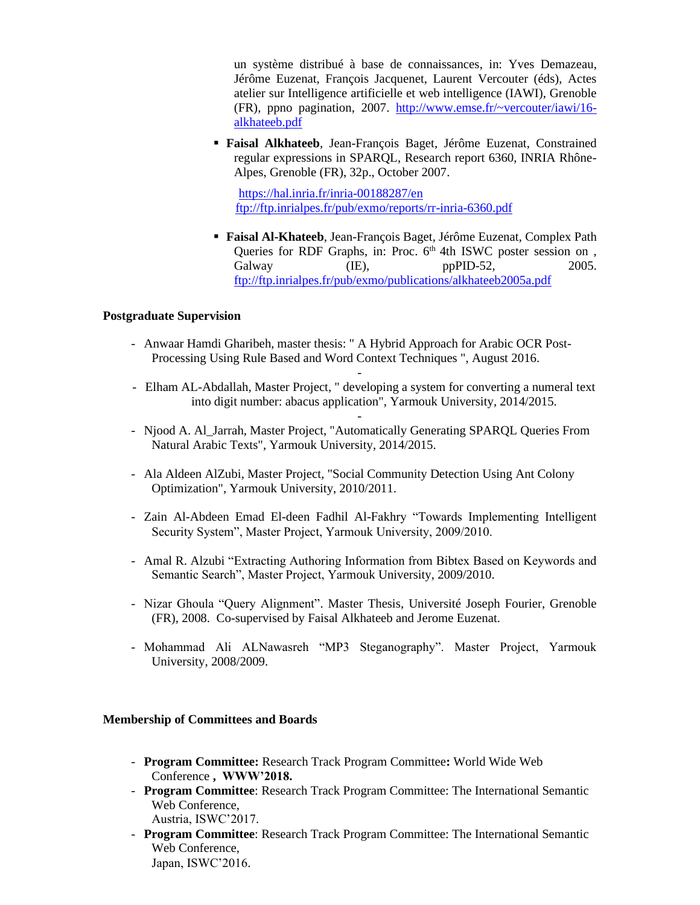un système distribué à base de connaissances, in: Yves Demazeau, Jérôme Euzenat, François Jacquenet, Laurent Vercouter (éds), Actes atelier sur Intelligence artificielle et web intelligence (IAWI), Grenoble (FR), ppno pagination, 2007. [http://www.emse.fr/~vercouter/iawi/16](http://www.emse.fr/~vercouter/iawi/16-alkhateeb.pdf) [alkhateeb.pdf](http://www.emse.fr/~vercouter/iawi/16-alkhateeb.pdf)

▪ **Faisal Alkhateeb**, Jean-François Baget, Jérôme Euzenat, Constrained regular expressions in SPARQL, Research report 6360, INRIA Rhône-Alpes, Grenoble (FR), 32p., October 2007.

 <https://hal.inria.fr/inria-00188287/en> <ftp://ftp.inrialpes.fr/pub/exmo/reports/rr-inria-6360.pdf>

▪ **Faisal Al-Khateeb**, Jean-François Baget, Jérôme Euzenat, Complex Path Queries for RDF Graphs, in: Proc.  $6<sup>th</sup>$  4th ISWC poster session on, Galway (IE), ppPID-52, 2005. <ftp://ftp.inrialpes.fr/pub/exmo/publications/alkhateeb2005a.pdf>

#### **Postgraduate Supervision**

- Anwaar Hamdi Gharibeh, master thesis: " A Hybrid Approach for Arabic OCR Post-Processing Using Rule Based and Word Context Techniques ", August 2016.
- Elham AL-Abdallah, Master Project, " developing a system for converting a numeral text into digit number: abacus application", Yarmouk University, 2014/2015.

-

- - Njood A. Al\_Jarrah, Master Project, "Automatically Generating SPARQL Queries From Natural Arabic Texts", Yarmouk University, 2014/2015.
- Ala Aldeen AlZubi, Master Project, "Social Community Detection Using Ant Colony Optimization", Yarmouk University, 2010/2011.
- Zain Al-Abdeen Emad El-deen Fadhil Al-Fakhry "Towards Implementing Intelligent Security System", Master Project, Yarmouk University, 2009/2010.
- Amal R. Alzubi "Extracting Authoring Information from Bibtex Based on Keywords and Semantic Search", Master Project, Yarmouk University, 2009/2010.
- Nizar Ghoula "Query Alignment". Master Thesis, Université Joseph Fourier, Grenoble (FR), 2008. Co-supervised by Faisal Alkhateeb and Jerome Euzenat.
- Mohammad Ali ALNawasreh "MP3 Steganography". Master Project, Yarmouk University, 2008/2009.

### **Membership of Committees and Boards**

- **Program Committee:** Research Track Program Committee**:** [World Wide Web](http://www.www2017.com.au/)  [Conference](http://www.www2017.com.au/) **, WWW'2018.**
- **Program Committee**: Research Track Program Committee: The International Semantic Web Conference, Austria, ISWC'2017.
- **Program Committee**: Research Track Program Committee: The International Semantic Web Conference, Japan, ISWC'2016.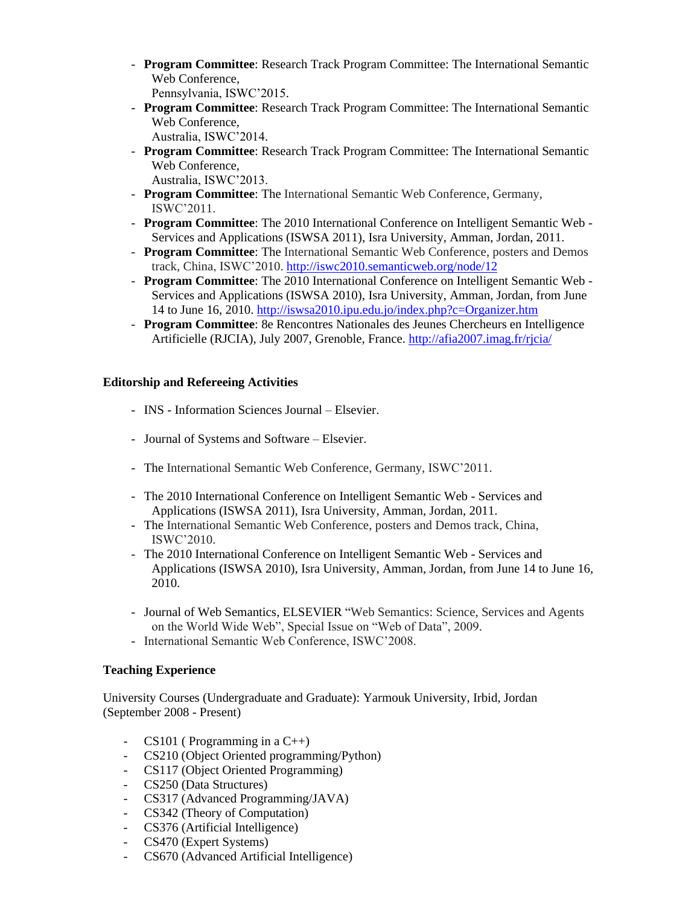- **Program Committee**: Research Track Program Committee: The International Semantic Web Conference, Pennsylvania, ISWC'2015.
- **Program Committee**: Research Track Program Committee: The International Semantic Web Conference,

Australia, ISWC'2014.

- **Program Committee**: Research Track Program Committee: The International Semantic Web Conference, Australia, ISWC'2013.
- **Program Committee**: The International Semantic Web Conference, Germany, ISWC'2011.
- **Program Committee**: The 2010 International Conference on Intelligent Semantic Web Services and Applications (ISWSA 2011), [Isra University,](http://www.isra.edu.jo/) Amman, Jordan, 2011.
- **Program Committee**: The International Semantic Web Conference, posters and Demos track, China, ISWC'2010. <http://iswc2010.semanticweb.org/node/12>
- **Program Committee**: The 2010 International Conference on Intelligent Semantic Web Services and Applications (ISWSA 2010), [Isra University,](http://www.isra.edu.jo/) Amman, Jordan, from June 14 to June 16, 2010. <http://iswsa2010.ipu.edu.jo/index.php?c=Organizer.htm>
- **Program Committee**: 8e Rencontres Nationales des Jeunes Chercheurs en Intelligence Artificielle (RJCIA), July 2007, Grenoble, France. <http://afia2007.imag.fr/rjcia/>

# **Editorship and Refereeing Activities**

- INS Information Sciences Journal Elsevier.
- Journal of Systems and Software Elsevier.
- The International Semantic Web Conference, Germany, ISWC'2011.
- The 2010 International Conference on Intelligent Semantic Web Services and Applications (ISWSA 2011), [Isra University,](http://www.isra.edu.jo/) Amman, Jordan, 2011.
- The International Semantic Web Conference, posters and Demos track, China, ISWC'2010.
- The 2010 International Conference on Intelligent Semantic Web Services and Applications (ISWSA 2010), [Isra University,](http://www.isra.edu.jo/) Amman, Jordan, from June 14 to June 16, 2010.
- Journal of Web Semantics, ELSEVIER "Web Semantics: Science, Services and Agents on the World Wide Web", Special Issue on "Web of Data", 2009.
- International Semantic Web Conference, ISWC'2008.

# **Teaching Experience**

University Courses (Undergraduate and Graduate): Yarmouk University, Irbid, Jordan (September 2008 - Present)

- $CS101$  (Programming in a C++)
- CS210 (Object Oriented programming/Python)
- CS117 (Object Oriented Programming)
- CS250 (Data Structures)
- CS317 (Advanced Programming/JAVA)
- CS342 (Theory of Computation)
- CS376 (Artificial Intelligence)
- CS470 (Expert Systems)
- CS670 (Advanced Artificial Intelligence)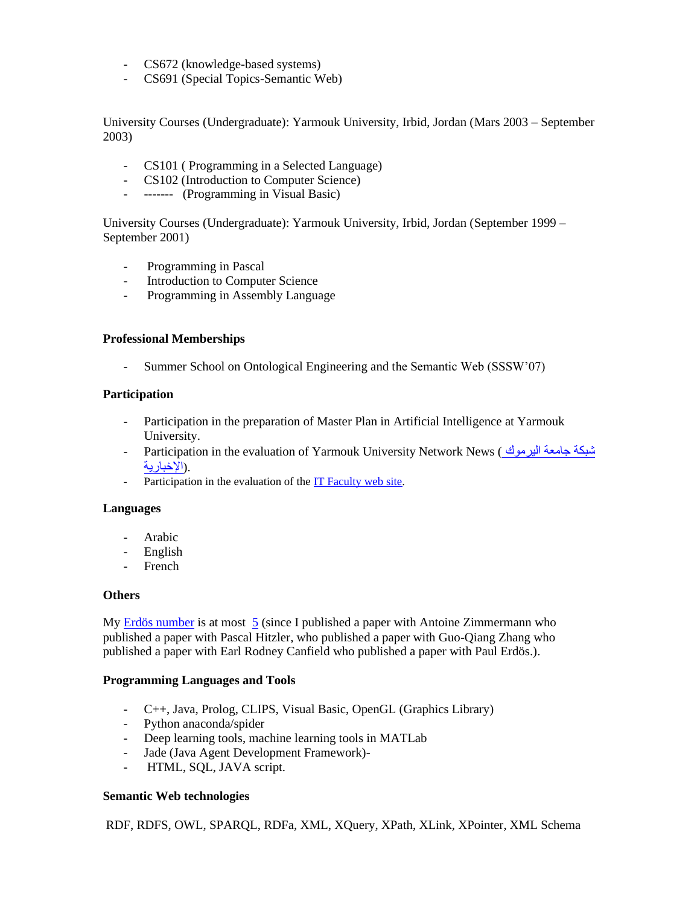- CS672 (knowledge-based systems)
- CS691 (Special Topics-Semantic Web)

University Courses (Undergraduate): Yarmouk University, Irbid, Jordan (Mars 2003 – September 2003)

- CS101 ( Programming in a Selected Language)
- CS102 (Introduction to Computer Science)
- ------- (Programming in Visual Basic)

University Courses (Undergraduate): Yarmouk University, Irbid, Jordan (September 1999 – September 2001)

- Programming in Pascal
- Introduction to Computer Science
- Programming in Assembly Language

# **Professional Memberships**

- Summer School on Ontological Engineering and the Semantic Web (SSSW'07)

#### **Participation**

- Participation in the preparation of Master Plan in Artificial Intelligence at Yarmouk University.
- Participation in the evaluation of Yarmouk University Network News ( اليرموك جامعة اليرموك -.([اإلخبارية](http://yunn.yu.edu.jo/)
- Participation in the evaluation of the [IT Faculty web site.](http://www.it.yu.edu.jo/new)

#### **Languages**

- Arabic
- English
- French

#### **Others**

My [Erdös number](http://www.oakland.edu/enp/) is at most  $5$  (since I published a paper with [Antoine Zimmermann](http://vmgal34.deri.ie/~antzim/index.html) who published a paper with Pascal Hitzler, who published a paper with Guo-Qiang Zhang who published a paper with Earl Rodney Canfield who published a paper with Paul Erdös.).

#### **Programming Languages and Tools**

- C++, Java, Prolog, CLIPS, Visual Basic, OpenGL (Graphics Library)
- Python anaconda/spider
- Deep learning tools, machine learning tools in MATLab
- Jade (Java Agent Development Framework)-
- HTML, SQL, JAVA script.

# **Semantic Web technologies**

RDF, RDFS, OWL, SPARQL, RDFa, XML, XQuery, XPath, XLink, XPointer, XML Schema